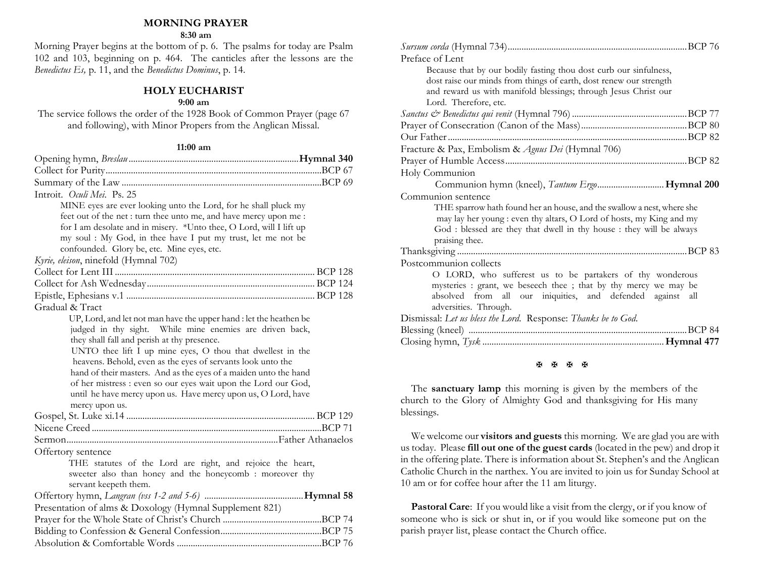#### **MORNING PRAYER**

#### **8:30 am**

Morning Prayer begins at the bottom of p. 6. The psalms for today are Psalm 102 and 103, beginning on p. 464. The canticles after the lessons are the *Benedictus Es,* p. 11, and the *Benedictus Dominus*, p. 14.

### **HOLY EUCHARIST**

#### **9:00 am**

The service follows the order of the 1928 Book of Common Prayer (page 67 and following), with Minor Propers from the Anglican Missal.

#### **11:00 am**

| Introit. Oculi Mei. Ps. 25                                          |  |
|---------------------------------------------------------------------|--|
| MINE eyes are ever looking unto the Lord, for he shall pluck my     |  |
| feet out of the net : turn thee unto me, and have mercy upon me :   |  |
| for I am desolate and in misery. *Unto thee, O Lord, will I lift up |  |
| my soul : My God, in thee have I put my trust, let me not be        |  |
| confounded. Glory be, etc. Mine eyes, etc.                          |  |
| Kyrie, eleison, ninefold (Hymnal 702)                               |  |
|                                                                     |  |
|                                                                     |  |
|                                                                     |  |
| Gradual & Tract                                                     |  |
| UP, Lord, and let not man have the upper hand : let the heathen be  |  |
| judged in thy sight. While mine enemies are driven back,            |  |
| they shall fall and perish at thy presence.                         |  |
| UNTO thee lift I up mine eyes, O thou that dwellest in the          |  |
| heavens. Behold, even as the eyes of servants look unto the         |  |
| hand of their masters. And as the eyes of a maiden unto the hand    |  |
| of her mistress : even so our eyes wait upon the Lord our God,      |  |
| until he have mercy upon us. Have mercy upon us, O Lord, have       |  |
| mercy upon us.                                                      |  |
|                                                                     |  |
|                                                                     |  |
|                                                                     |  |
| Offertory sentence                                                  |  |
| THE statutes of the Lord are right, and rejoice the heart,          |  |
| sweeter also than honey and the honeycomb : moreover thy            |  |
| servant keepeth them.                                               |  |
|                                                                     |  |
| Presentation of alms & Doxology (Hymnal Supplement 821)             |  |
|                                                                     |  |
|                                                                     |  |
|                                                                     |  |

| Preface of Lent                                                        |          |
|------------------------------------------------------------------------|----------|
| Because that by our bodily fasting thou dost curb our sinfulness,      |          |
| dost raise our minds from things of earth, dost renew our strength     |          |
| and reward us with manifold blessings; through Jesus Christ our        |          |
| Lord. Therefore, etc.                                                  |          |
|                                                                        |          |
|                                                                        |          |
|                                                                        |          |
| Fracture & Pax, Embolism & Agnus Dei (Hymnal 706)                      |          |
|                                                                        |          |
| Holy Communion                                                         |          |
| Communion hymn (kneel), Tantum Ergo Hymnal 200                         |          |
| Communion sentence                                                     |          |
| THE sparrow hath found her an house, and the swallow a nest, where she |          |
| may lay her young : even thy altars, O Lord of hosts, my King and my   |          |
| God : blessed are they that dwell in thy house : they will be always   |          |
| praising thee.                                                         |          |
|                                                                        |          |
| Postcommunion collects                                                 |          |
| O LORD, who sufferest us to be partakers of thy wonderous              |          |
| mysteries : grant, we beseech thee ; that by thy mercy we may be       |          |
| absolved from all our iniquities, and defended against all             |          |
| adversities. Through.                                                  |          |
| Dismissal: Let us bless the Lord. Response: Thanks be to God.          |          |
|                                                                        | . BCP 84 |
|                                                                        |          |
|                                                                        |          |

**图图图图** 

 The **sanctuary lamp** this morning is given by the members of the church to the Glory of Almighty God and thanksgiving for His many blessings.

 We welcome our **visitors and guests** this morning. We are glad you are with us today. Please **fill out one of the guest cards** (located in the pew) and drop it in the offering plate. There is information about St. Stephen's and the Anglican Catholic Church in the narthex. You are invited to join us for Sunday School at 10 am or for coffee hour after the 11 am liturgy.

 **Pastoral Care**: If you would like a visit from the clergy, or if you know of someone who is sick or shut in, or if you would like someone put on the parish prayer list, please contact the Church office.